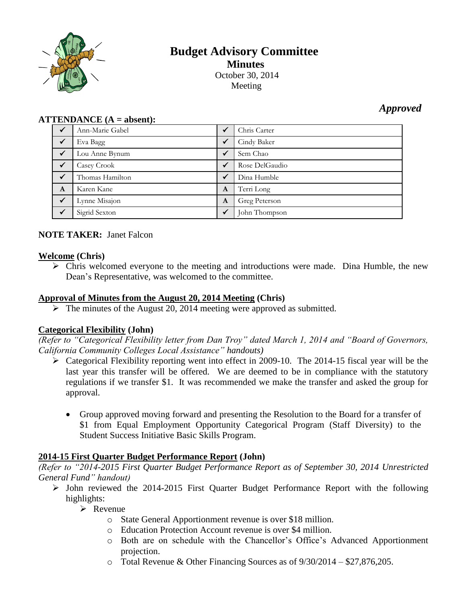

# **Budget Advisory Committee Minutes** October 30, 2014 Meeting

## *Approved*

#### **ATTENDANCE (A = absent):**

|              | Ann-Marie Gabel | ✓            | Chris Carter   |
|--------------|-----------------|--------------|----------------|
| $\checkmark$ | Eva Bagg        | $\checkmark$ | Cindy Baker    |
| $\checkmark$ | Lou Anne Bynum  | $\checkmark$ | Sem Chao       |
| $\checkmark$ | Casey Crook     | $\checkmark$ | Rose DelGaudio |
|              | Thomas Hamilton | $\checkmark$ | Dina Humble    |
| A            | Karen Kane      | A            | Terri Long     |
| $\checkmark$ | Lynne Misajon   | A            | Greg Peterson  |
|              | Sigrid Sexton   | $\checkmark$ | John Thompson  |

### **NOTE TAKER:** Janet Falcon

#### **Welcome (Chris)**

 $\triangleright$  Chris welcomed everyone to the meeting and introductions were made. Dina Humble, the new Dean's Representative, was welcomed to the committee.

#### **Approval of Minutes from the August 20, 2014 Meeting (Chris)**

 $\triangleright$  The minutes of the August 20, 2014 meeting were approved as submitted.

#### **Categorical Flexibility (John)**

*(Refer to "Categorical Flexibility letter from Dan Troy" dated March 1, 2014 and "Board of Governors, California Community Colleges Local Assistance" handouts)*

- $\triangleright$  Categorical Flexibility reporting went into effect in 2009-10. The 2014-15 fiscal year will be the last year this transfer will be offered. We are deemed to be in compliance with the statutory regulations if we transfer \$1. It was recommended we make the transfer and asked the group for approval.
	- Group approved moving forward and presenting the Resolution to the Board for a transfer of \$1 from Equal Employment Opportunity Categorical Program (Staff Diversity) to the Student Success Initiative Basic Skills Program.

#### **2014-15 First Quarter Budget Performance Report (John)**

*(Refer to "2014-2015 First Quarter Budget Performance Report as of September 30, 2014 Unrestricted General Fund" handout)*

 $\triangleright$  John reviewed the 2014-2015 First Quarter Budget Performance Report with the following highlights:

 $\triangleright$  Revenue

- o State General Apportionment revenue is over \$18 million.
- o Education Protection Account revenue is over \$4 million.
- o Both are on schedule with the Chancellor's Office's Advanced Apportionment projection.
- o Total Revenue & Other Financing Sources as of 9/30/2014 \$27,876,205.